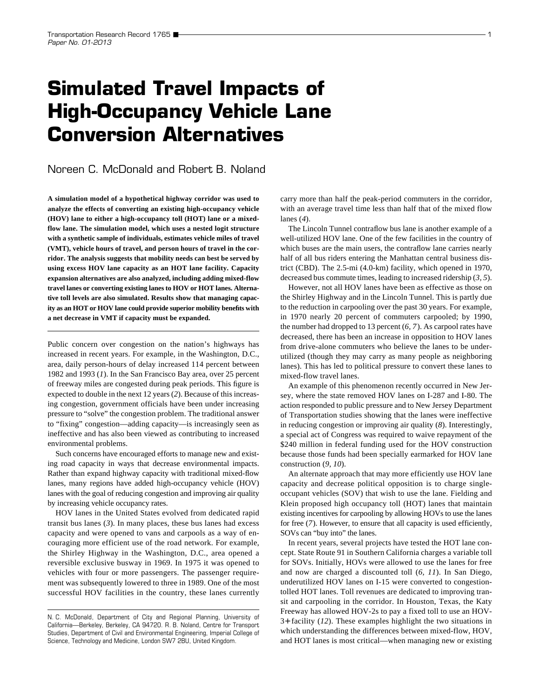# **Simulated Travel Impacts of High-Occupancy Vehicle Lane Conversion Alternatives**

## Noreen C. McDonald and Robert B. Noland

**A simulation model of a hypothetical highway corridor was used to analyze the effects of converting an existing high-occupancy vehicle (HOV) lane to either a high-occupancy toll (HOT) lane or a mixedflow lane. The simulation model, which uses a nested logit structure with a synthetic sample of individuals, estimates vehicle miles of travel (VMT), vehicle hours of travel, and person hours of travel in the corridor. The analysis suggests that mobility needs can best be served by using excess HOV lane capacity as an HOT lane facility. Capacity expansion alternatives are also analyzed, including adding mixed-flow travel lanes or converting existing lanes to HOV or HOT lanes. Alternative toll levels are also simulated. Results show that managing capacity as an HOT or HOV lane could provide superior mobility benefits with a net decrease in VMT if capacity must be expanded.**

Public concern over congestion on the nation's highways has increased in recent years. For example, in the Washington, D.C., area, daily person-hours of delay increased 114 percent between 1982 and 1993 (*1*). In the San Francisco Bay area, over 25 percent of freeway miles are congested during peak periods. This figure is expected to double in the next 12 years (*2*). Because of this increasing congestion, government officials have been under increasing pressure to "solve" the congestion problem. The traditional answer to "fixing" congestion—adding capacity—is increasingly seen as ineffective and has also been viewed as contributing to increased environmental problems.

Such concerns have encouraged efforts to manage new and existing road capacity in ways that decrease environmental impacts. Rather than expand highway capacity with traditional mixed-flow lanes, many regions have added high-occupancy vehicle (HOV) lanes with the goal of reducing congestion and improving air quality by increasing vehicle occupancy rates.

HOV lanes in the United States evolved from dedicated rapid transit bus lanes (*3*). In many places, these bus lanes had excess capacity and were opened to vans and carpools as a way of encouraging more efficient use of the road network. For example, the Shirley Highway in the Washington, D.C., area opened a reversible exclusive busway in 1969. In 1975 it was opened to vehicles with four or more passengers. The passenger requirement was subsequently lowered to three in 1989. One of the most successful HOV facilities in the country, these lanes currently carry more than half the peak-period commuters in the corridor, with an average travel time less than half that of the mixed flow lanes (*4*).

The Lincoln Tunnel contraflow bus lane is another example of a well-utilized HOV lane. One of the few facilities in the country of which buses are the main users, the contraflow lane carries nearly half of all bus riders entering the Manhattan central business district (CBD). The 2.5-mi (4.0-km) facility, which opened in 1970, decreased bus commute times, leading to increased ridership (*3, 5*).

However, not all HOV lanes have been as effective as those on the Shirley Highway and in the Lincoln Tunnel. This is partly due to the reduction in carpooling over the past 30 years. For example, in 1970 nearly 20 percent of commuters carpooled; by 1990, the number had dropped to 13 percent (*6, 7*). As carpool rates have decreased, there has been an increase in opposition to HOV lanes from drive-alone commuters who believe the lanes to be underutilized (though they may carry as many people as neighboring lanes). This has led to political pressure to convert these lanes to mixed-flow travel lanes.

An example of this phenomenon recently occurred in New Jersey, where the state removed HOV lanes on I-287 and I-80. The action responded to public pressure and to New Jersey Department of Transportation studies showing that the lanes were ineffective in reducing congestion or improving air quality (*8*). Interestingly, a special act of Congress was required to waive repayment of the \$240 million in federal funding used for the HOV construction because those funds had been specially earmarked for HOV lane construction (*9, 10*).

An alternate approach that may more efficiently use HOV lane capacity and decrease political opposition is to charge singleoccupant vehicles (SOV) that wish to use the lane. Fielding and Klein proposed high occupancy toll (HOT) lanes that maintain existing incentives for carpooling by allowing HOVs to use the lanes for free (*7*). However, to ensure that all capacity is used efficiently, SOVs can "buy into" the lanes.

In recent years, several projects have tested the HOT lane concept. State Route 91 in Southern California charges a variable toll for SOVs. Initially, HOVs were allowed to use the lanes for free and now are charged a discounted toll (*6, 11*). In San Diego, underutilized HOV lanes on I-15 were converted to congestiontolled HOT lanes. Toll revenues are dedicated to improving transit and carpooling in the corridor. In Houston, Texas, the Katy Freeway has allowed HOV-2s to pay a fixed toll to use an HOV-3+ facility (*12*). These examples highlight the two situations in which understanding the differences between mixed-flow, HOV, and HOT lanes is most critical—when managing new or existing

N. C. McDonald, Department of City and Regional Planning, University of California—Berkeley, Berkeley, CA 94720. R. B. Noland, Centre for Transport Studies, Department of Civil and Environmental Engineering, Imperial College of Science, Technology and Medicine, London SW7 2BU, United Kingdom.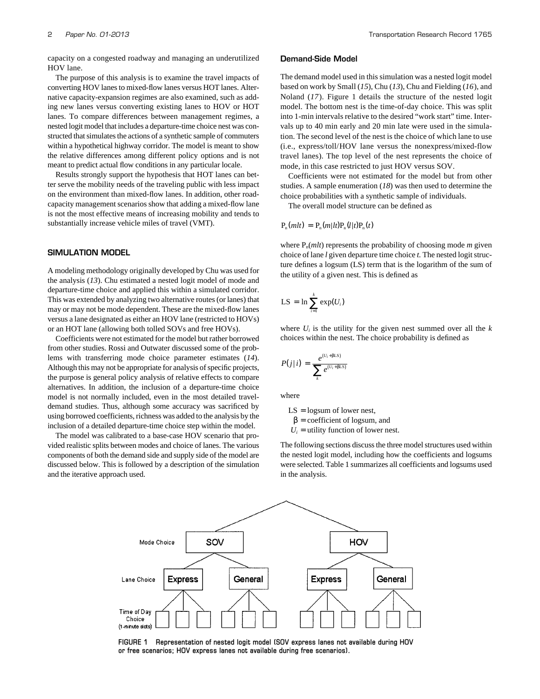capacity on a congested roadway and managing an underutilized HOV lane.

The purpose of this analysis is to examine the travel impacts of converting HOV lanes to mixed-flow lanes versus HOT lanes. Alternative capacity-expansion regimes are also examined, such as adding new lanes versus converting existing lanes to HOV or HOT lanes. To compare differences between management regimes, a nested logit model that includes a departure-time choice nest was constructed that simulates the actions of a synthetic sample of commuters within a hypothetical highway corridor. The model is meant to show the relative differences among different policy options and is not meant to predict actual flow conditions in any particular locale.

Results strongly support the hypothesis that HOT lanes can better serve the mobility needs of the traveling public with less impact on the environment than mixed-flow lanes. In addition, other roadcapacity management scenarios show that adding a mixed-flow lane is not the most effective means of increasing mobility and tends to substantially increase vehicle miles of travel (VMT).

## **SIMULATION MODEL**

A modeling methodology originally developed by Chu was used for the analysis (*13*). Chu estimated a nested logit model of mode and departure-time choice and applied this within a simulated corridor. This was extended by analyzing two alternative routes (or lanes) that may or may not be mode dependent. These are the mixed-flow lanes versus a lane designated as either an HOV lane (restricted to HOVs) or an HOT lane (allowing both tolled SOVs and free HOVs).

Coefficients were not estimated for the model but rather borrowed from other studies. Rossi and Outwater discussed some of the problems with transferring mode choice parameter estimates (*14*). Although this may not be appropriate for analysis of specific projects, the purpose is general policy analysis of relative effects to compare alternatives. In addition, the inclusion of a departure-time choice model is not normally included, even in the most detailed traveldemand studies. Thus, although some accuracy was sacrificed by using borrowed coefficients, richness was added to the analysis by the inclusion of a detailed departure-time choice step within the model.

The model was calibrated to a base-case HOV scenario that provided realistic splits between modes and choice of lanes. The various components of both the demand side and supply side of the model are discussed below. This is followed by a description of the simulation and the iterative approach used.

#### **Demand-Side Model**

The demand model used in this simulation was a nested logit model based on work by Small (*15*), Chu (*13*), Chu and Fielding (*16*), and Noland (*17*). Figure 1 details the structure of the nested logit model. The bottom nest is the time-of-day choice. This was split into 1-min intervals relative to the desired "work start" time. Intervals up to 40 min early and 20 min late were used in the simulation. The second level of the nest is the choice of which lane to use (i.e., express/toll/HOV lane versus the nonexpress/mixed-flow travel lanes). The top level of the nest represents the choice of mode, in this case restricted to just HOV versus SOV.

Coefficients were not estimated for the model but from other studies. A sample enumeration (*18*) was then used to determine the choice probabilities with a synthetic sample of individuals.

The overall model structure can be defined as

$$
P_n(mlt) = P_n(m|lt)P_n(l|t)P_n(t)
$$

where  $P_n(mlt)$  represents the probability of choosing mode *m* given choice of lane *l* given departure time choice *t.* The nested logit structure defines a logsum (LS) term that is the logarithm of the sum of the utility of a given nest. This is defined as

$$
LS = \ln \sum_{i=1}^{k} \exp(U_i)
$$

where  $U_i$  is the utility for the given nest summed over all the  $k$ choices within the nest. The choice probability is defined as

$$
P(j|i) = \frac{e^{(U_i + \beta LS)}}{\sum_{k} e^{(U_i + \beta LS)}}
$$

where

 $LS = logsum of lower nest,$ 

 $β = coefficient of logsum, and$ 

 $U_i$  = utility function of lower nest.

The following sections discuss the three model structures used within the nested logit model, including how the coefficients and logsums were selected. Table 1 summarizes all coefficients and logsums used in the analysis.



**FIGURE 1 Representation of nested logit model (SOV express lanes not available during HOV or free scenarios; HOV express lanes not available during free scenarios).**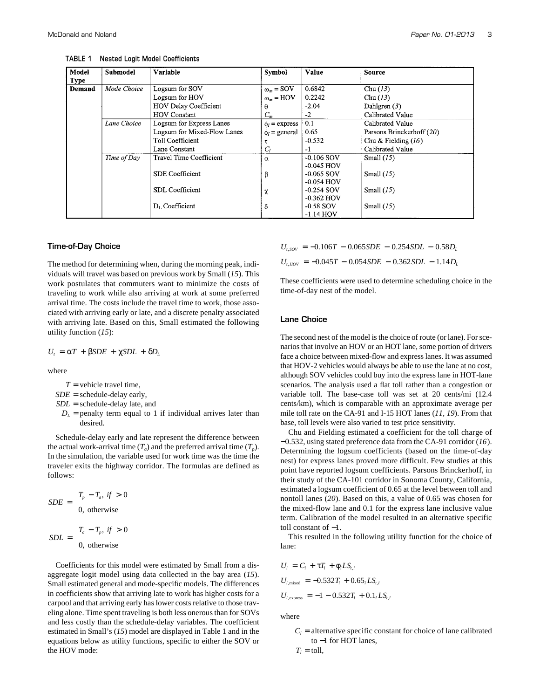| Model       | <b>Submodel</b> | Variable                    | Symbol                  | Value        | <b>Source</b>             |
|-------------|-----------------|-----------------------------|-------------------------|--------------|---------------------------|
| <b>Type</b> |                 |                             |                         |              |                           |
| Demand      | Mode Choice     | Logsum for SOV              | $\omega_m =$ SOV        | 0.6842       | Chu $(13)$                |
|             |                 | Logsum for HOV              | $\omega_m = \text{HOV}$ | 0.2242       | Chu(13)                   |
|             |                 | HOV Delay Coefficient       | θ                       | $-2.04$      | Dahlgren $(3)$            |
|             |                 | <b>HOV</b> Constant         | $C_m$                   | -2           | Calibrated Value          |
|             | Lane Choice     | Logsum for Express Lanes    | $\phi_l$ = express      | 0.1          | Calibrated Value          |
|             |                 | Logsum for Mixed-Flow Lanes | $\phi_l$ = general      | 0.65         | Parsons Brinckerhoff (20) |
|             |                 | Toll Coefficient            |                         | $-0.532$     | Chu & Fielding $(16)$     |
|             |                 | Lane Constant               | $\scriptstyle C_l$      | $-1$         | Calibrated Value          |
|             | Time of Day     | Travel Time Coefficient     | $\alpha$                | $-0.106$ SOV | Small $(15)$              |
|             |                 |                             |                         | -0.045 HOV   |                           |
|             |                 | <b>SDE</b> Coefficient      | β                       | $-0.065$ SOV | Small $(15)$              |
|             |                 |                             |                         | -0.054 HOV   |                           |
|             |                 | <b>SDL</b> Coefficient      | χ                       | $-0.254$ SOV | Small $(15)$              |
|             |                 |                             |                         | $-0.362$ HOV |                           |
|             |                 | $D_L$ Coefficient           | δ                       | $-0.58$ SOV  | Small $(15)$              |
|             |                 |                             |                         | $-1.14$ HOV  |                           |

**TABLE 1 Nested Logit Model Coefficients**

#### **Time-of-Day Choice**

The method for determining when, during the morning peak, individuals will travel was based on previous work by Small (*15*). This work postulates that commuters want to minimize the costs of traveling to work while also arriving at work at some preferred arrival time. The costs include the travel time to work, those associated with arriving early or late, and a discrete penalty associated with arriving late. Based on this, Small estimated the following utility function (*15*):

$$
U_t = \alpha T + \beta SDE + \chi SDL + \delta D_L
$$

where

- $T =$  vehicle travel time,
- $SDE$  = schedule-delay early,
- *SDL* = schedule-delay late, and
	- $D<sub>L</sub>$  = penalty term equal to 1 if individual arrives later than desired.

Schedule-delay early and late represent the difference between the actual work-arrival time  $(T_a)$  and the preferred arrival time  $(T_p)$ . In the simulation, the variable used for work time was the time the traveler exits the highway corridor. The formulas are defined as follows:

$$
SDE = \begin{cases} T_p - T_a, & \text{if } > 0 \\ 0, & \text{otherwise} \end{cases}
$$

$$
[T_a - T_p, & \text{if } > 0
$$

$$
SDL = \begin{cases} T_a - T_p, & \text{if } > 0 \\ 0, & \text{otherwise} \end{cases}
$$

Coefficients for this model were estimated by Small from a disaggregate logit model using data collected in the bay area (*15*). Small estimated general and mode-specific models. The differences in coefficients show that arriving late to work has higher costs for a carpool and that arriving early has lower costs relative to those traveling alone. Time spent traveling is both less onerous than for SOVs and less costly than the schedule-delay variables. The coefficient estimated in Small's (*15*) model are displayed in Table 1 and in the equations below as utility functions, specific to either the SOV or the HOV mode:

 $U_{t,SOV} = -0.106T - 0.065SDE - 0.254SDL - 0.58D<sub>L</sub>$  $U_{t,HOV} = -0.045T - 0.054SDE - 0.362SDL - 1.14D_L$ 

These coefficients were used to determine scheduling choice in the time-of-day nest of the model.

#### **Lane Choice**

The second nest of the model is the choice of route (or lane). For scenarios that involve an HOV or an HOT lane, some portion of drivers face a choice between mixed-flow and express lanes. It was assumed that HOV-2 vehicles would always be able to use the lane at no cost, although SOV vehicles could buy into the express lane in HOT-lane scenarios. The analysis used a flat toll rather than a congestion or variable toll. The base-case toll was set at 20 cents/mi (12.4 cents/km), which is comparable with an approximate average per mile toll rate on the CA-91 and I-15 HOT lanes (*11, 19*). From that base, toll levels were also varied to test price sensitivity.

Chu and Fielding estimated a coefficient for the toll charge of −0.532, using stated preference data from the CA-91 corridor (*16*). Determining the logsum coefficients (based on the time-of-day nest) for express lanes proved more difficult. Few studies at this point have reported logsum coefficients. Parsons Brinckerhoff, in their study of the CA-101 corridor in Sonoma County, California, estimated a logsum coefficient of 0.65 at the level between toll and nontoll lanes (*20*). Based on this, a value of 0.65 was chosen for the mixed-flow lane and 0.1 for the express lane inclusive value term. Calibration of the model resulted in an alternative specific toll constant of −1.

This resulted in the following utility function for the choice of lane:

$$
U_{I} = C_{I} + \tau T_{I} + \phi_{I} LS_{t,I}
$$
  
\n
$$
U_{I,\text{mixed}} = -0.532T_{I} + 0.65_{I} LS_{t,I}
$$
  
\n
$$
U_{I,\text{express}} = -1 - 0.532T_{I} + 0.1_{I} LS_{t,I}
$$

where

 $C_l$  = alternative specific constant for choice of lane calibrated to −1 for HOT lanes,

$$
T_l = \text{toll},
$$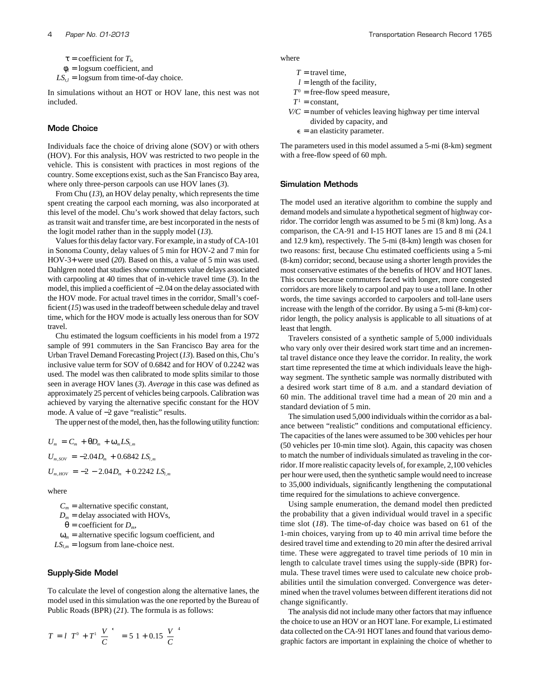$\tau$  = coefficient for  $T_l$ ,

 $\phi$ <sup>*l*</sup> = logsum coefficient, and

 $LS_{t,l}$  = logsum from time-of-day choice.

In simulations without an HOT or HOV lane, this nest was not included.

#### **Mode Choice**

Individuals face the choice of driving alone (SOV) or with others (HOV). For this analysis, HOV was restricted to two people in the vehicle. This is consistent with practices in most regions of the country. Some exceptions exist, such as the San Francisco Bay area, where only three-person carpools can use HOV lanes (*3*).

From Chu (*13*), an HOV delay penalty, which represents the time spent creating the carpool each morning, was also incorporated at this level of the model. Chu's work showed that delay factors, such as transit wait and transfer time, are best incorporated in the nests of the logit model rather than in the supply model (*13*).

Values for this delay factor vary. For example, in a study of CA-101 in Sonoma County, delay values of 5 min for HOV-2 and 7 min for HOV-3+ were used (*20*). Based on this, a value of 5 min was used. Dahlgren noted that studies show commuters value delays associated with carpooling at 40 times that of in-vehicle travel time (*3*). In the model, this implied a coefficient of −2.04 on the delay associated with the HOV mode. For actual travel times in the corridor, Small's coefficient (*15*) was used in the tradeoff between schedule delay and travel time, which for the HOV mode is actually less onerous than for SOV travel.

Chu estimated the logsum coefficients in his model from a 1972 sample of 991 commuters in the San Francisco Bay area for the Urban Travel Demand Forecasting Project (*13*). Based on this, Chu's inclusive value term for SOV of 0.6842 and for HOV of 0.2242 was used. The model was then calibrated to mode splits similar to those seen in average HOV lanes (*3*). *Average* in this case was defined as approximately 25 percent of vehicles being carpools. Calibration was achieved by varying the alternative specific constant for the HOV mode. A value of −2 gave "realistic" results.

The upper nest of the model, then, has the following utility function:

$$
U_m = C_m + \theta D_m + \omega_m LS_{l,m}
$$
  
\n
$$
U_{m,SOV} = -2.04 D_m + 0.6842 LS_{l,m}
$$
  
\n
$$
U_{m,BOV} = -2 - 2.04 D_m + 0.2242 LS_{l,m}
$$

where

 $C_m$  = alternative specific constant,

 $D_m$  = delay associated with HOVs,

 $\theta$  = coefficient for  $D_m$ ,

 $\omega_m$  = alternative specific logsum coefficient, and

 $LS<sub>lm</sub>$  = logsum from lane-choice nest.

## **Supply-Side Model**

To calculate the level of congestion along the alternative lanes, the model used in this simulation was the one reported by the Bureau of Public Roads (BPR) (*21*). The formula is as follows:

$$
T = l \left[ T^{0} + T^{1} \left( \frac{V}{C} \right)^{\epsilon} \right] = 5 \left[ 1 + 0.15 \left( \frac{V}{C} \right)^{4} \right]
$$

where

- $T =$  travel time,
- $l =$  length of the facility,
- $T^0$  = free-flow speed measure,
- $T^1$  = constant,
- $V/C$  = number of vehicles leaving highway per time interval divided by capacity, and
	- $\epsilon$  = an elasticity parameter.

The parameters used in this model assumed a 5-mi (8-km) segment with a free-flow speed of 60 mph.

### **Simulation Methods**

The model used an iterative algorithm to combine the supply and demand models and simulate a hypothetical segment of highway corridor. The corridor length was assumed to be 5 mi (8 km) long. As a comparison, the CA-91 and I-15 HOT lanes are 15 and 8 mi (24.1 and 12.9 km), respectively. The 5-mi (8-km) length was chosen for two reasons: first, because Chu estimated coefficients using a 5-mi (8-km) corridor; second, because using a shorter length provides the most conservative estimates of the benefits of HOV and HOT lanes. This occurs because commuters faced with longer, more congested corridors are more likely to carpool and pay to use a toll lane. In other words, the time savings accorded to carpoolers and toll-lane users increase with the length of the corridor. By using a 5-mi (8-km) corridor length, the policy analysis is applicable to all situations of at least that length.

Travelers consisted of a synthetic sample of 5,000 individuals who vary only over their desired work start time and an incremental travel distance once they leave the corridor. In reality, the work start time represented the time at which individuals leave the highway segment. The synthetic sample was normally distributed with a desired work start time of 8 a.m. and a standard deviation of 60 min. The additional travel time had a mean of 20 min and a standard deviation of 5 min.

The simulation used 5,000 individuals within the corridor as a balance between "realistic" conditions and computational efficiency. The capacities of the lanes were assumed to be 300 vehicles per hour (50 vehicles per 10-min time slot). Again, this capacity was chosen to match the number of individuals simulated as traveling in the corridor. If more realistic capacity levels of, for example, 2,100 vehicles per hour were used, then the synthetic sample would need to increase to 35,000 individuals, significantly lengthening the computational time required for the simulations to achieve convergence.

Using sample enumeration, the demand model then predicted the probability that a given individual would travel in a specific time slot (*18*). The time-of-day choice was based on 61 of the 1-min choices, varying from up to 40 min arrival time before the desired travel time and extending to 20 min after the desired arrival time. These were aggregated to travel time periods of 10 min in length to calculate travel times using the supply-side (BPR) formula. These travel times were used to calculate new choice probabilities until the simulation converged. Convergence was determined when the travel volumes between different iterations did not change significantly.

The analysis did not include many other factors that may influence the choice to use an HOV or an HOT lane. For example, Li estimated data collected on the CA-91 HOT lanes and found that various demographic factors are important in explaining the choice of whether to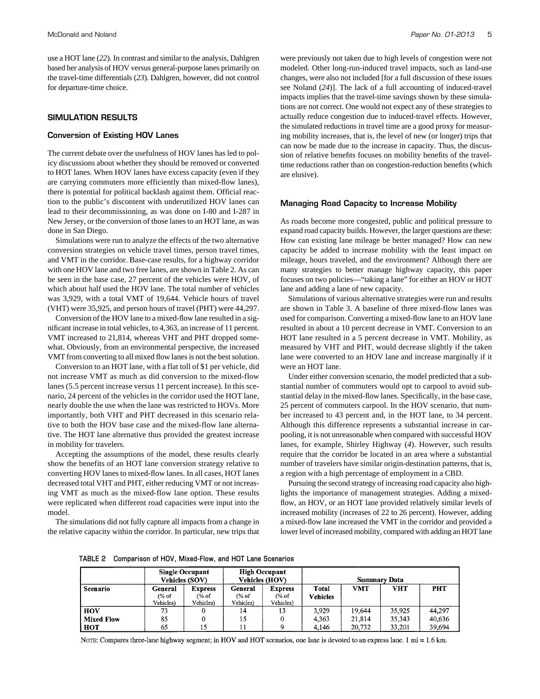use a HOT lane (*22*). In contrast and similar to the analysis, Dahlgren based her analysis of HOV versus general-purpose lanes primarily on the travel-time differentials (*23*). Dahlgren, however, did not control for departure-time choice.

## **SIMULATION RESULTS**

#### **Conversion of Existing HOV Lanes**

The current debate over the usefulness of HOV lanes has led to policy discussions about whether they should be removed or converted to HOT lanes. When HOV lanes have excess capacity (even if they are carrying commuters more efficiently than mixed-flow lanes), there is potential for political backlash against them. Official reaction to the public's discontent with underutilized HOV lanes can lead to their decommissioning, as was done on I-80 and I-287 in New Jersey, or the conversion of those lanes to an HOT lane, as was done in San Diego.

Simulations were run to analyze the effects of the two alternative conversion strategies on vehicle travel times, person travel times, and VMT in the corridor. Base-case results, for a highway corridor with one HOV lane and two free lanes, are shown in Table 2. As can be seen in the base case, 27 percent of the vehicles were HOV, of which about half used the HOV lane. The total number of vehicles was 3,929, with a total VMT of 19,644. Vehicle hours of travel (VHT) were 35,925, and person hours of travel (PHT) were 44,297.

Conversion of the HOV lane to a mixed-flow lane resulted in a significant increase in total vehicles, to 4,363, an increase of 11 percent. VMT increased to 21,814, whereas VHT and PHT dropped somewhat. Obviously, from an environmental perspective, the increased VMT from converting to all mixed flow lanes is not the best solution.

Conversion to an HOT lane, with a flat toll of \$1 per vehicle, did not increase VMT as much as did conversion to the mixed-flow lanes (5.5 percent increase versus 11 percent increase). In this scenario, 24 percent of the vehicles in the corridor used the HOT lane, nearly double the use when the lane was restricted to HOVs. More importantly, both VHT and PHT decreased in this scenario relative to both the HOV base case and the mixed-flow lane alternative. The HOT lane alternative thus provided the greatest increase in mobility for travelers.

Accepting the assumptions of the model, these results clearly show the benefits of an HOT lane conversion strategy relative to converting HOV lanes to mixed-flow lanes. In all cases, HOT lanes decreased total VHT and PHT, either reducing VMT or not increasing VMT as much as the mixed-flow lane option. These results were replicated when different road capacities were input into the model.

The simulations did not fully capture all impacts from a change in the relative capacity within the corridor. In particular, new trips that

were previously not taken due to high levels of congestion were not modeled. Other long-run-induced travel impacts, such as land-use changes, were also not included [for a full discussion of these issues see Noland (*24*)]. The lack of a full accounting of induced-travel impacts implies that the travel-time savings shown by these simulations are not correct. One would not expect any of these strategies to actually reduce congestion due to induced-travel effects. However, the simulated reductions in travel time are a good proxy for measuring mobility increases, that is, the level of new (or longer) trips that can now be made due to the increase in capacity. Thus, the discussion of relative benefits focuses on mobility benefits of the traveltime reductions rather than on congestion-reduction benefits (which are elusive).

#### **Managing Road Capacity to Increase Mobility**

As roads become more congested, public and political pressure to expand road capacity builds. However, the larger questions are these: How can existing lane mileage be better managed? How can new capacity be added to increase mobility with the least impact on mileage, hours traveled, and the environment? Although there are many strategies to better manage highway capacity, this paper focuses on two policies—"taking a lane" for either an HOV or HOT lane and adding a lane of new capacity.

Simulations of various alternative strategies were run and results are shown in Table 3. A baseline of three mixed-flow lanes was used for comparison. Converting a mixed-flow lane to an HOV lane resulted in about a 10 percent decrease in VMT. Conversion to an HOT lane resulted in a 5 percent decrease in VMT. Mobility, as measured by VHT and PHT, would decrease slightly if the taken lane were converted to an HOV lane and increase marginally if it were an HOT lane.

Under either conversion scenario, the model predicted that a substantial number of commuters would opt to carpool to avoid substantial delay in the mixed-flow lanes. Specifically, in the base case, 25 percent of commuters carpool. In the HOV scenario, that number increased to 43 percent and, in the HOT lane, to 34 percent. Although this difference represents a substantial increase in carpooling, it is not unreasonable when compared with successful HOV lanes, for example, Shirley Highway (*4*). However, such results require that the corridor be located in an area where a substantial number of travelers have similar origin-destination patterns, that is, a region with a high percentage of employment in a CBD.

Pursuing the second strategy of increasing road capacity also highlights the importance of management strategies. Adding a mixedflow, an HOV, or an HOT lane provided relatively similar levels of increased mobility (increases of 22 to 26 percent). However, adding a mixed-flow lane increased the VMT in the corridor and provided a lower level of increased mobility, compared with adding an HOT lane

| TABLE 2  Comparison of HOV, Mixed-Flow, and HOT Lane Scenarios |  |  |  |
|----------------------------------------------------------------|--|--|--|
|                                                                |  |  |  |

|                   |                               | <b>Single Occupant</b><br><b>Vehicles (SOV)</b> |                                          | <b>High Occupant</b><br><b>Vehicles (HOV)</b> |                          | <b>Summary Data</b> |        |            |
|-------------------|-------------------------------|-------------------------------------------------|------------------------------------------|-----------------------------------------------|--------------------------|---------------------|--------|------------|
| Scenario          | General<br>(% of<br>Vehicles) | <b>Express</b><br>(% of<br>Vehicles)            | General<br>$\frac{6}{6}$ of<br>Vehicles) | <b>Express</b><br>(% of<br>Vehicles)          | Total<br><b>Vehicles</b> | <b>VMT</b>          | VHT    | <b>PHT</b> |
| HOV               | 73                            | 0                                               | 14                                       | 13                                            | 3.929                    | 19,644              | 35,925 | 44.297     |
| <b>Mixed Flow</b> | 85                            |                                                 | 15                                       |                                               | 4,363                    | 21,814              | 35.343 | 40,636     |
| нот               | 65                            | 15                                              |                                          |                                               | 4,146                    | 20,732              | 33,201 | 39.694     |

NOTE: Compares three-lane highway segment; in HOV and HOT scenarios, one lane is devoted to an express lane. 1 mi = 1.6 km.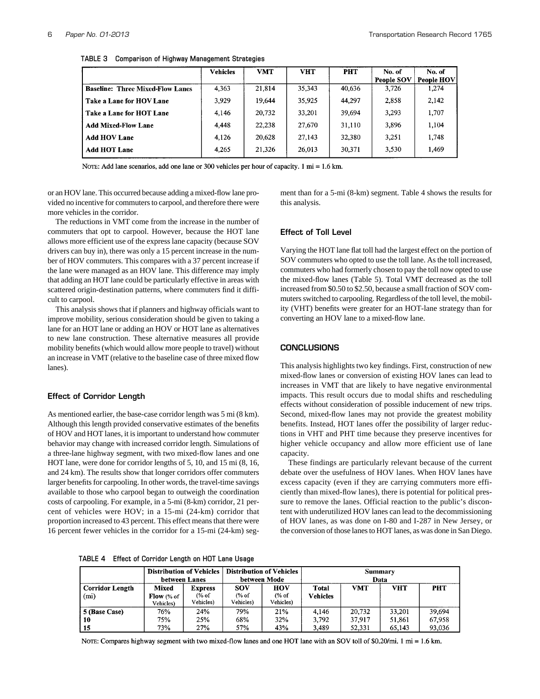|                                         | <b>Vehicles</b> | <b>VMT</b> | <b>VHT</b> | <b>PHT</b> | No. of<br><b>People SOV</b> | No. of<br><b>People HOV</b> |
|-----------------------------------------|-----------------|------------|------------|------------|-----------------------------|-----------------------------|
| <b>Baseline: Three Mixed-Flow Lanes</b> | 4,363           | 21.814     | 35,343     | 40,636     | 3,726                       | 1,274                       |
| Take a Lane for HOV Lane                | 3.929           | 19.644     | 35,925     | 44,297     | 2,858                       | 2,142                       |
| Take a Lane for HOT Lane                | 4.146           | 20,732     | 33,201     | 39,694     | 3,293                       | 1,707                       |
| <b>Add Mixed-Flow Lane</b>              | 4,448           | 22,238     | 27,670     | 31,110     | 3,896                       | 1,104                       |
| <b>Add HOV Lane</b>                     | 4,126           | 20,628     | 27.143     | 32,380     | 3.251                       | 1,748                       |
| <b>Add HOT Lane</b>                     | 4.265           | 21,326     | 26,013     | 30,371     | 3,530                       | 1,469                       |

**TABLE 3 Comparison of Highway Management Strategies**

NOTE: Add lane scenarios, add one lane or 300 vehicles per hour of capacity. 1 mi = 1.6 km.

or an HOV lane. This occurred because adding a mixed-flow lane provided no incentive for commuters to carpool, and therefore there were more vehicles in the corridor.

The reductions in VMT come from the increase in the number of commuters that opt to carpool. However, because the HOT lane allows more efficient use of the express lane capacity (because SOV drivers can buy in), there was only a 15 percent increase in the number of HOV commuters. This compares with a 37 percent increase if the lane were managed as an HOV lane. This difference may imply that adding an HOT lane could be particularly effective in areas with scattered origin-destination patterns, where commuters find it difficult to carpool.

This analysis shows that if planners and highway officials want to improve mobility, serious consideration should be given to taking a lane for an HOT lane or adding an HOV or HOT lane as alternatives to new lane construction. These alternative measures all provide mobility benefits (which would allow more people to travel) without an increase in VMT (relative to the baseline case of three mixed flow lanes).

## **Effect of Corridor Length**

As mentioned earlier, the base-case corridor length was 5 mi (8 km). Although this length provided conservative estimates of the benefits of HOV and HOT lanes, it is important to understand how commuter behavior may change with increased corridor length. Simulations of a three-lane highway segment, with two mixed-flow lanes and one HOT lane, were done for corridor lengths of 5, 10, and 15 mi (8, 16, and 24 km). The results show that longer corridors offer commuters larger benefits for carpooling. In other words, the travel-time savings available to those who carpool began to outweigh the coordination costs of carpooling. For example, in a 5-mi (8-km) corridor, 21 percent of vehicles were HOV; in a 15-mi (24-km) corridor that proportion increased to 43 percent. This effect means that there were 16 percent fewer vehicles in the corridor for a 15-mi (24-km) segment than for a 5-mi (8-km) segment. Table 4 shows the results for this analysis.

## **Effect of Toll Level**

Varying the HOT lane flat toll had the largest effect on the portion of SOV commuters who opted to use the toll lane. As the toll increased, commuters who had formerly chosen to pay the toll now opted to use the mixed-flow lanes (Table 5). Total VMT decreased as the toll increased from \$0.50 to \$2.50, because a small fraction of SOV commuters switched to carpooling. Regardless of the toll level, the mobility (VHT) benefits were greater for an HOT-lane strategy than for converting an HOV lane to a mixed-flow lane.

### **CONCLUSIONS**

This analysis highlights two key findings. First, construction of new mixed-flow lanes or conversion of existing HOV lanes can lead to increases in VMT that are likely to have negative environmental impacts. This result occurs due to modal shifts and rescheduling effects without consideration of possible inducement of new trips. Second, mixed-flow lanes may not provide the greatest mobility benefits. Instead, HOT lanes offer the possibility of larger reductions in VHT and PHT time because they preserve incentives for higher vehicle occupancy and allow more efficient use of lane capacity.

These findings are particularly relevant because of the current debate over the usefulness of HOV lanes. When HOV lanes have excess capacity (even if they are carrying commuters more efficiently than mixed-flow lanes), there is potential for political pressure to remove the lanes. Official reaction to the public's discontent with underutilized HOV lanes can lead to the decommissioning of HOV lanes, as was done on I-80 and I-287 in New Jersey, or the conversion of those lanes to HOT lanes, as was done in San Diego.

**TABLE 4 Effect of Corridor Length on HOT Lane Usage**

|                                      | <b>Distribution of Vehicles</b><br>between Lanes    |                                                 | <b>Distribution of Vehicles</b><br>Summary<br>between Mode<br>Data |                           |                          |                            |                            |                            |
|--------------------------------------|-----------------------------------------------------|-------------------------------------------------|--------------------------------------------------------------------|---------------------------|--------------------------|----------------------------|----------------------------|----------------------------|
| Corridor Length<br>(m <sub>i</sub> ) | Mixed<br><b>Flow</b> $(\% \text{ of }$<br>Vehicles) | <b>Express</b><br>$\frac{6}{6}$ of<br>Vehicles) | <b>SOV</b><br>$\frac{6}{6}$ of<br>Vehicles)                        | HOV<br>(% of<br>Vehicles) | Total<br><b>Vehicles</b> | VMT                        | VHT                        | <b>PHT</b>                 |
| 5 (Base Case)<br>10<br>15            | 76%<br>75%<br>73%                                   | 24%<br>25%<br>27%                               | 79%<br>68%<br>57%                                                  | 21%<br>32%<br>43%         | 4.146<br>3.792<br>3,489  | 20,732<br>37.917<br>52,331 | 33.201<br>51,861<br>65,143 | 39.694<br>67,958<br>93,036 |

NOTE: Compares highway segment with two mixed-flow lanes and one HOT lane with an SOV toll of \$0.20/mi. 1 mi = 1.6 km.